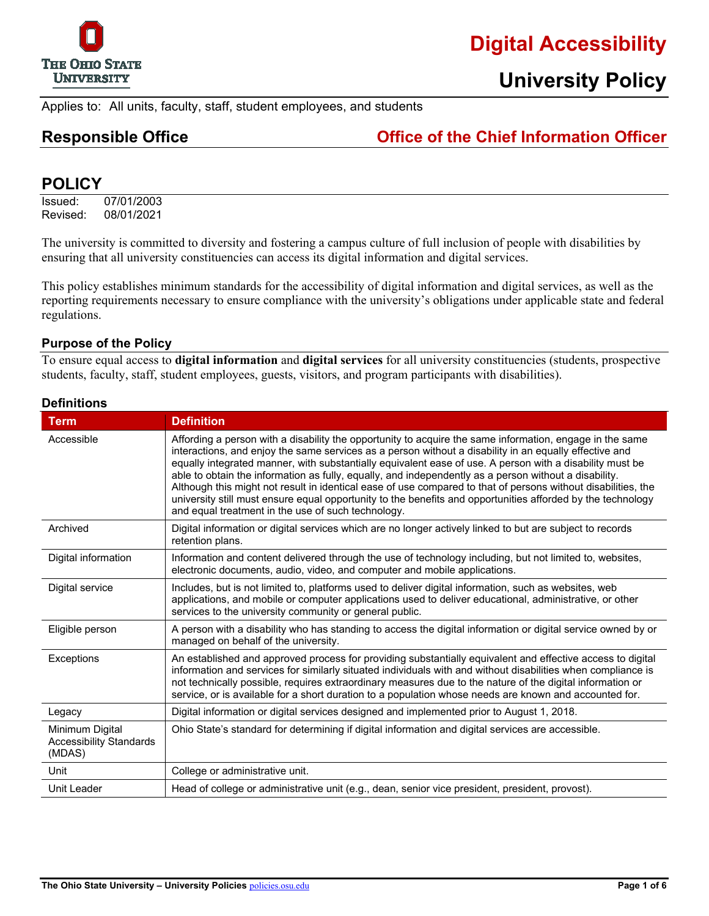

# **Digital Accessibility**

Applies to: All units, faculty, staff, student employees, and students

## **Responsible Office Office of the Chief Information Officer**

### **POLICY**

Issued: 07/01/2003<br>Revised: 08/01/2021 08/01/2021

The university is committed to diversity and fostering a campus culture of full inclusion of people with disabilities by ensuring that all university constituencies can access its digital information and digital services.

This policy establishes minimum standards for the accessibility of digital information and digital services, as well as the reporting requirements necessary to ensure compliance with the university's obligations under applicable state and federal regulations.

#### **Purpose of the Policy**

To ensure equal access to **digital information** and **digital services** for all university constituencies (students, prospective students, faculty, staff, student employees, guests, visitors, and program participants with disabilities).

| <b>Term</b>                                                 | <b>Definition</b>                                                                                                                                                                                                                                                                                                                                                                                                                                                                                                                                                                                                                                                                                                             |
|-------------------------------------------------------------|-------------------------------------------------------------------------------------------------------------------------------------------------------------------------------------------------------------------------------------------------------------------------------------------------------------------------------------------------------------------------------------------------------------------------------------------------------------------------------------------------------------------------------------------------------------------------------------------------------------------------------------------------------------------------------------------------------------------------------|
| Accessible                                                  | Affording a person with a disability the opportunity to acquire the same information, engage in the same<br>interactions, and enjoy the same services as a person without a disability in an equally effective and<br>equally integrated manner, with substantially equivalent ease of use. A person with a disability must be<br>able to obtain the information as fully, equally, and independently as a person without a disability.<br>Although this might not result in identical ease of use compared to that of persons without disabilities, the<br>university still must ensure equal opportunity to the benefits and opportunities afforded by the technology<br>and equal treatment in the use of such technology. |
| Archived                                                    | Digital information or digital services which are no longer actively linked to but are subject to records<br>retention plans.                                                                                                                                                                                                                                                                                                                                                                                                                                                                                                                                                                                                 |
| Digital information                                         | Information and content delivered through the use of technology including, but not limited to, websites,<br>electronic documents, audio, video, and computer and mobile applications.                                                                                                                                                                                                                                                                                                                                                                                                                                                                                                                                         |
| Digital service                                             | Includes, but is not limited to, platforms used to deliver digital information, such as websites, web<br>applications, and mobile or computer applications used to deliver educational, administrative, or other<br>services to the university community or general public.                                                                                                                                                                                                                                                                                                                                                                                                                                                   |
| Eligible person                                             | A person with a disability who has standing to access the digital information or digital service owned by or<br>managed on behalf of the university.                                                                                                                                                                                                                                                                                                                                                                                                                                                                                                                                                                          |
| Exceptions                                                  | An established and approved process for providing substantially equivalent and effective access to digital<br>information and services for similarly situated individuals with and without disabilities when compliance is<br>not technically possible, requires extraordinary measures due to the nature of the digital information or<br>service, or is available for a short duration to a population whose needs are known and accounted for.                                                                                                                                                                                                                                                                             |
| Legacy                                                      | Digital information or digital services designed and implemented prior to August 1, 2018.                                                                                                                                                                                                                                                                                                                                                                                                                                                                                                                                                                                                                                     |
| Minimum Digital<br><b>Accessibility Standards</b><br>(MDAS) | Ohio State's standard for determining if digital information and digital services are accessible.                                                                                                                                                                                                                                                                                                                                                                                                                                                                                                                                                                                                                             |
| Unit                                                        | College or administrative unit.                                                                                                                                                                                                                                                                                                                                                                                                                                                                                                                                                                                                                                                                                               |
| Unit Leader                                                 | Head of college or administrative unit (e.g., dean, senior vice president, president, provost).                                                                                                                                                                                                                                                                                                                                                                                                                                                                                                                                                                                                                               |

### **Definitions**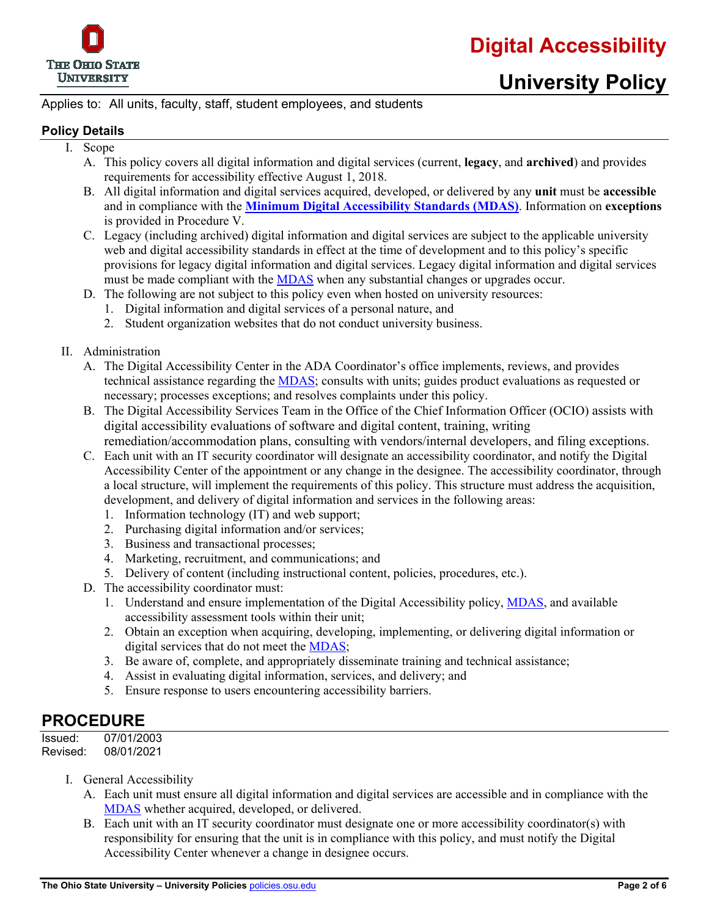

# **University Policy**

#### Applies to: All units, faculty, staff, student employees, and students

#### **Policy Details**

- I. Scope
	- A. This policy covers all digital information and digital services (current, **legacy**, and **archived**) and provides requirements for accessibility effective August 1, 2018.
	- B. All digital information and digital services acquired, developed, or delivered by any **unit** must be **accessible** and in compliance with the **[Minimum Digital Accessibility Standards \(MDAS\)](https://accessibility.osu.edu/standards)**. Information on **exceptions** is provided in Procedure V.
	- C. Legacy (including archived) digital information and digital services are subject to the applicable university web and digital accessibility standards in effect at the time of development and to this policy's specific provisions for legacy digital information and digital services. Legacy digital information and digital services must be made compliant with the [MDAS](https://accessibility.osu.edu/standards) when any substantial changes or upgrades occur.
	- D. The following are not subject to this policy even when hosted on university resources:
		- 1. Digital information and digital services of a personal nature, and
		- 2. Student organization websites that do not conduct university business.
- II. Administration
	- A. The Digital Accessibility Center in the ADA Coordinator's office implements, reviews, and provides technical assistance regarding the [MDAS;](https://accessibility.osu.edu/standards) consults with units; guides product evaluations as requested or necessary; processes exceptions; and resolves complaints under this policy.
	- B. The Digital Accessibility Services Team in the Office of the Chief Information Officer (OCIO) assists with digital accessibility evaluations of software and digital content, training, writing remediation/accommodation plans, consulting with vendors/internal developers, and filing exceptions.
	- C. Each unit with an IT security coordinator will designate an accessibility coordinator, and notify the Digital Accessibility Center of the appointment or any change in the designee. The accessibility coordinator, through a local structure, will implement the requirements of this policy. This structure must address the acquisition, development, and delivery of digital information and services in the following areas:
		- 1. Information technology (IT) and web support;
		- 2. Purchasing digital information and/or services;
		- 3. Business and transactional processes;
		- 4. Marketing, recruitment, and communications; and
		- 5. Delivery of content (including instructional content, policies, procedures, etc.).
	- D. The accessibility coordinator must:
		- 1. Understand and ensure implementation of the Digital Accessibility policy, [MDAS,](https://accessibility.osu.edu/standards) and available accessibility assessment tools within their unit;
		- 2. Obtain an exception when acquiring, developing, implementing, or delivering digital information or digital services that do not meet the [MDAS;](https://accessibility.osu.edu/standards)
		- 3. Be aware of, complete, and appropriately disseminate training and technical assistance;
		- 4. Assist in evaluating digital information, services, and delivery; and
		- 5. Ensure response to users encountering accessibility barriers.

### **PROCEDURE**

| Issued:  | 07/01/2003 |
|----------|------------|
| Revised: | 08/01/2021 |

- I. General Accessibility
	- A. Each unit must ensure all digital information and digital services are accessible and in compliance with the [MDAS](https://accessibility.osu.edu/standards) whether acquired, developed, or delivered.
	- B. Each unit with an IT security coordinator must designate one or more accessibility coordinator(s) with responsibility for ensuring that the unit is in compliance with this policy, and must notify the Digital Accessibility Center whenever a change in designee occurs.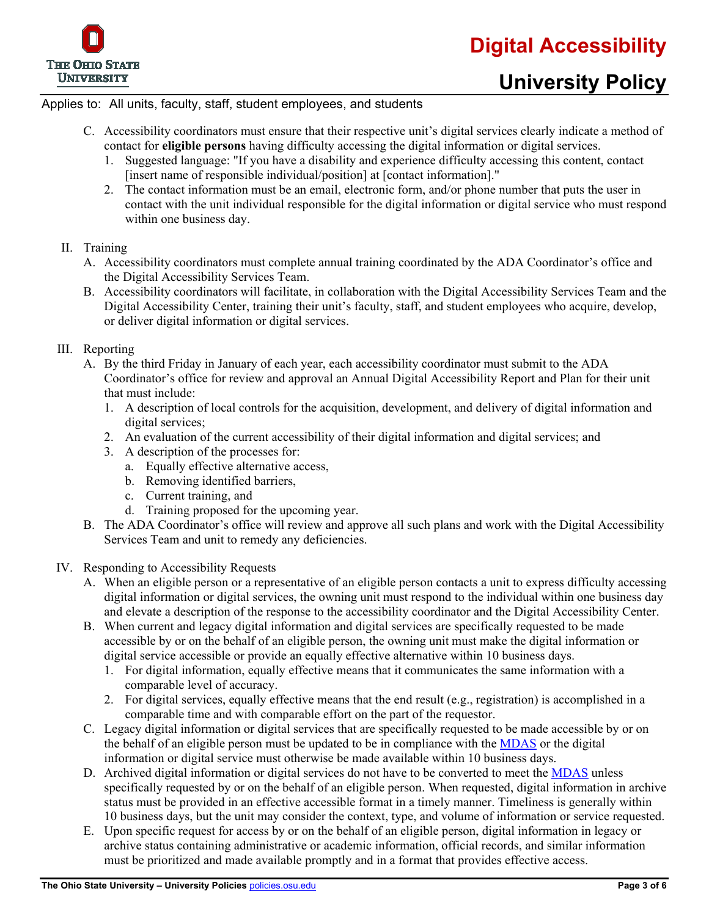

#### Applies to: All units, faculty, staff, student employees, and students

- C. Accessibility coordinators must ensure that their respective unit's digital services clearly indicate a method of contact for **eligible persons** having difficulty accessing the digital information or digital services.
	- 1. Suggested language: "If you have a disability and experience difficulty accessing this content, contact [insert name of responsible individual/position] at [contact information]."
	- 2. The contact information must be an email, electronic form, and/or phone number that puts the user in contact with the unit individual responsible for the digital information or digital service who must respond within one business day.

#### II. Training

- A. Accessibility coordinators must complete annual training coordinated by the ADA Coordinator's office and the Digital Accessibility Services Team.
- B. Accessibility coordinators will facilitate, in collaboration with the Digital Accessibility Services Team and the Digital Accessibility Center, training their unit's faculty, staff, and student employees who acquire, develop, or deliver digital information or digital services.

#### III. Reporting

- A. By the third Friday in January of each year, each accessibility coordinator must submit to the ADA Coordinator's office for review and approval an Annual Digital Accessibility Report and Plan for their unit that must include:
	- 1. A description of local controls for the acquisition, development, and delivery of digital information and digital services;
	- 2. An evaluation of the current accessibility of their digital information and digital services; and
	- 3. A description of the processes for:
		- a. Equally effective alternative access,
		- b. Removing identified barriers,
		- c. Current training, and
		- d. Training proposed for the upcoming year.
- B. The ADA Coordinator's office will review and approve all such plans and work with the Digital Accessibility Services Team and unit to remedy any deficiencies.
- IV. Responding to Accessibility Requests
	- A. When an eligible person or a representative of an eligible person contacts a unit to express difficulty accessing digital information or digital services, the owning unit must respond to the individual within one business day and elevate a description of the response to the accessibility coordinator and the Digital Accessibility Center.
	- B. When current and legacy digital information and digital services are specifically requested to be made accessible by or on the behalf of an eligible person, the owning unit must make the digital information or digital service accessible or provide an equally effective alternative within 10 business days.
		- 1. For digital information, equally effective means that it communicates the same information with a comparable level of accuracy.
		- 2. For digital services, equally effective means that the end result (e.g., registration) is accomplished in a comparable time and with comparable effort on the part of the requestor.
	- C. Legacy digital information or digital services that are specifically requested to be made accessible by or on the behalf of an eligible person must be updated to be in compliance with the [MDAS](https://accessibility.osu.edu/standards) or the digital information or digital service must otherwise be made available within 10 business days.
	- D. Archived digital information or digital services do not have to be converted to meet the [MDAS](https://accessibility.osu.edu/standards) unless specifically requested by or on the behalf of an eligible person. When requested, digital information in archive status must be provided in an effective accessible format in a timely manner. Timeliness is generally within 10 business days, but the unit may consider the context, type, and volume of information or service requested.
	- E. Upon specific request for access by or on the behalf of an eligible person, digital information in legacy or archive status containing administrative or academic information, official records, and similar information must be prioritized and made available promptly and in a format that provides effective access.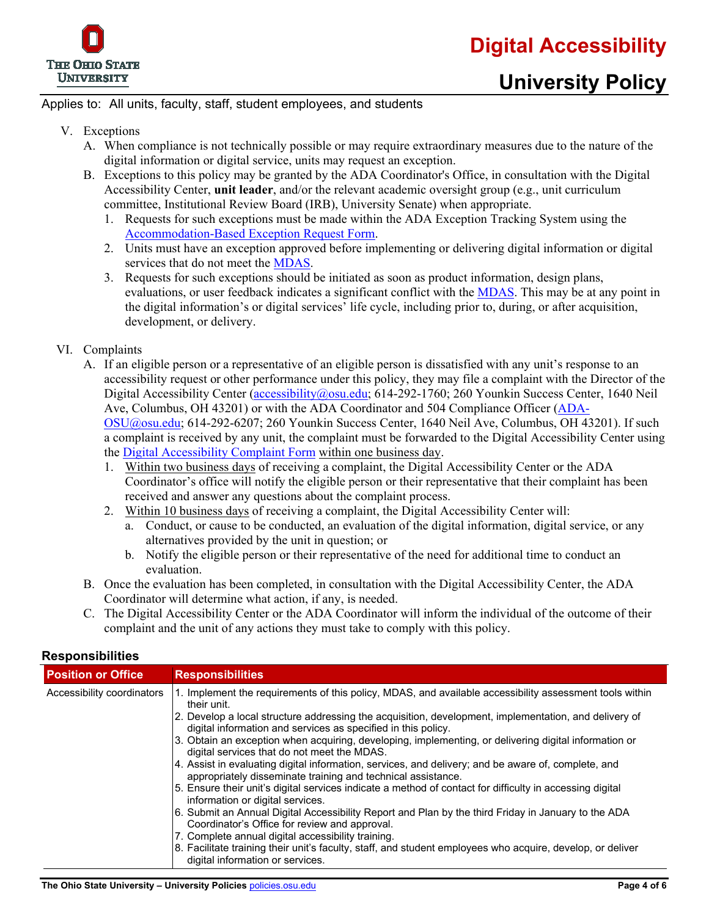

#### Applies to: All units, faculty, staff, student employees, and students

- V. Exceptions
	- A. When compliance is not technically possible or may require extraordinary measures due to the nature of the digital information or digital service, units may request an exception.
	- B. Exceptions to this policy may be granted by the ADA Coordinator's Office, in consultation with the Digital Accessibility Center, **unit leader**, and/or the relevant academic oversight group (e.g., unit curriculum committee, Institutional Review Board (IRB), University Senate) when appropriate.
		- 1. Requests for such exceptions must be made within the ADA Exception Tracking System using the [Accommodation-Based Exception Request Form.](https://accessibility.osu.edu/exceptions)
		- 2. Units must have an exception approved before implementing or delivering digital information or digital services that do not meet the [MDAS.](https://accessibility.osu.edu/standards)
		- 3. Requests for such exceptions should be initiated as soon as product information, design plans, evaluations, or user feedback indicates a significant conflict with the [MDAS.](https://accessibility.osu.edu/standards) This may be at any point in the digital information's or digital services' life cycle, including prior to, during, or after acquisition, development, or delivery.
- VI. Complaints
	- A. If an eligible person or a representative of an eligible person is dissatisfied with any unit's response to an accessibility request or other performance under this policy, they may file a complaint with the Director of the Digital Accessibility Center [\(accessibility@osu.edu;](mailto:accessibility@osu.edu) 614-292-1760; 260 Younkin Success Center, 1640 Neil Ave, Columbus, OH 43201) or with the ADA Coordinator and 504 Compliance Officer [\(ADA-](mailto:ADA-OSU@osu.edu)[OSU@osu.edu;](mailto:ADA-OSU@osu.edu) 614-292-6207; 260 Younkin Success Center, 1640 Neil Ave, Columbus, OH 43201). If such a complaint is received by any unit, the complaint must be forwarded to the Digital Accessibility Center using the [Digital Accessibility Complaint Form](https://accessibility.osu.edu/complaints) within one business day.
		- 1. Within two business days of receiving a complaint, the Digital Accessibility Center or the ADA Coordinator's office will notify the eligible person or their representative that their complaint has been received and answer any questions about the complaint process.
		- 2. Within 10 business days of receiving a complaint, the Digital Accessibility Center will:
			- a. Conduct, or cause to be conducted, an evaluation of the digital information, digital service, or any alternatives provided by the unit in question; or
			- b. Notify the eligible person or their representative of the need for additional time to conduct an evaluation.
	- B. Once the evaluation has been completed, in consultation with the Digital Accessibility Center, the ADA Coordinator will determine what action, if any, is needed.
	- C. The Digital Accessibility Center or the ADA Coordinator will inform the individual of the outcome of their complaint and the unit of any actions they must take to comply with this policy.

| <b>Position or Office</b>  | <b>Responsibilities</b>                                                                                                                                                |
|----------------------------|------------------------------------------------------------------------------------------------------------------------------------------------------------------------|
| Accessibility coordinators | 1. Implement the requirements of this policy, MDAS, and available accessibility assessment tools within<br>their unit.                                                 |
|                            | 2. Develop a local structure addressing the acquisition, development, implementation, and delivery of<br>digital information and services as specified in this policy. |
|                            | 3. Obtain an exception when acquiring, developing, implementing, or delivering digital information or<br>digital services that do not meet the MDAS.                   |
|                            | 4. Assist in evaluating digital information, services, and delivery; and be aware of, complete, and<br>appropriately disseminate training and technical assistance.    |
|                            | 5. Ensure their unit's digital services indicate a method of contact for difficulty in accessing digital<br>information or digital services.                           |
|                            | 6. Submit an Annual Digital Accessibility Report and Plan by the third Friday in January to the ADA<br>Coordinator's Office for review and approval.                   |
|                            | 7. Complete annual digital accessibility training.                                                                                                                     |
|                            | 8. Facilitate training their unit's faculty, staff, and student employees who acquire, develop, or deliver<br>digital information or services.                         |

#### **Responsibilities**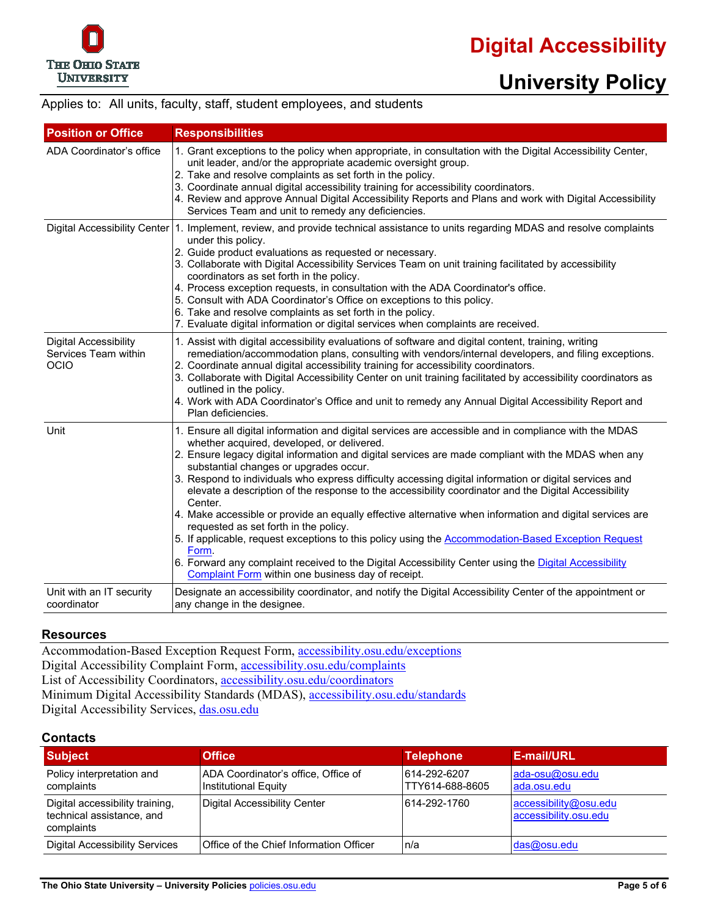# **University Policy**

#### Applies to: All units, faculty, staff, student employees, and students

| <b>Position or Office</b>                                           | <b>Responsibilities</b>                                                                                                                                                                                                                                                                                                                                                                                                                                                                                                                                                                                                                                                                                                                                                                                                                                                                                                                                               |
|---------------------------------------------------------------------|-----------------------------------------------------------------------------------------------------------------------------------------------------------------------------------------------------------------------------------------------------------------------------------------------------------------------------------------------------------------------------------------------------------------------------------------------------------------------------------------------------------------------------------------------------------------------------------------------------------------------------------------------------------------------------------------------------------------------------------------------------------------------------------------------------------------------------------------------------------------------------------------------------------------------------------------------------------------------|
| ADA Coordinator's office                                            | 1. Grant exceptions to the policy when appropriate, in consultation with the Digital Accessibility Center,<br>unit leader, and/or the appropriate academic oversight group.<br>2. Take and resolve complaints as set forth in the policy.<br>3. Coordinate annual digital accessibility training for accessibility coordinators.<br>4. Review and approve Annual Digital Accessibility Reports and Plans and work with Digital Accessibility<br>Services Team and unit to remedy any deficiencies.                                                                                                                                                                                                                                                                                                                                                                                                                                                                    |
|                                                                     | Digital Accessibility Center 1. Implement, review, and provide technical assistance to units regarding MDAS and resolve complaints<br>under this policy.<br>2. Guide product evaluations as requested or necessary.<br>3. Collaborate with Digital Accessibility Services Team on unit training facilitated by accessibility<br>coordinators as set forth in the policy.<br>4. Process exception requests, in consultation with the ADA Coordinator's office.<br>5. Consult with ADA Coordinator's Office on exceptions to this policy.<br>6. Take and resolve complaints as set forth in the policy.<br>7. Evaluate digital information or digital services when complaints are received.                                                                                                                                                                                                                                                                            |
| <b>Digital Accessibility</b><br>Services Team within<br><b>OCIO</b> | 1. Assist with digital accessibility evaluations of software and digital content, training, writing<br>remediation/accommodation plans, consulting with vendors/internal developers, and filing exceptions.<br>2. Coordinate annual digital accessibility training for accessibility coordinators.<br>3. Collaborate with Digital Accessibility Center on unit training facilitated by accessibility coordinators as<br>outlined in the policy.<br>4. Work with ADA Coordinator's Office and unit to remedy any Annual Digital Accessibility Report and<br>Plan deficiencies.                                                                                                                                                                                                                                                                                                                                                                                         |
| Unit                                                                | 1. Ensure all digital information and digital services are accessible and in compliance with the MDAS<br>whether acquired, developed, or delivered.<br>2. Ensure legacy digital information and digital services are made compliant with the MDAS when any<br>substantial changes or upgrades occur.<br>3. Respond to individuals who express difficulty accessing digital information or digital services and<br>elevate a description of the response to the accessibility coordinator and the Digital Accessibility<br>Center.<br>4. Make accessible or provide an equally effective alternative when information and digital services are<br>requested as set forth in the policy.<br>5. If applicable, request exceptions to this policy using the Accommodation-Based Exception Request<br>Form.<br>6. Forward any complaint received to the Digital Accessibility Center using the Digital Accessibility<br>Complaint Form within one business day of receipt. |
| Unit with an IT security<br>coordinator                             | Designate an accessibility coordinator, and notify the Digital Accessibility Center of the appointment or<br>any change in the designee.                                                                                                                                                                                                                                                                                                                                                                                                                                                                                                                                                                                                                                                                                                                                                                                                                              |

#### **Resources**

Accommodation-Based Exception Request Form, [accessibility.osu.edu/exceptions](https://accessibility.osu.edu/exceptions) Digital Accessibility Complaint Form, [accessibility.osu.edu/complaints](https://accessibility.osu.edu/complaints) List of Accessibility Coordinators, [accessibility.osu.edu/coordinators](https://accessibility.osu.edu/coordinators) Minimum Digital Accessibility Standards (MDAS), [accessibility.osu.edu/standards](https://accessibility.osu.edu/standards) Digital Accessibility Services, [das.osu.edu](https://das.osu.edu/)

#### **Contacts**

| <b>Subject</b>                                                             | <b>Office</b>                                                      | <b>Telephone</b>                | <b>E-mail/URL</b>                              |
|----------------------------------------------------------------------------|--------------------------------------------------------------------|---------------------------------|------------------------------------------------|
| Policy interpretation and<br>complaints                                    | ADA Coordinator's office, Office of<br><b>Institutional Equity</b> | 614-292-6207<br>TTY614-688-8605 | ada-osu@osu.edu<br>ada.osu.edu                 |
| Digital accessibility training,<br>technical assistance, and<br>complaints | Digital Accessibility Center                                       | 614-292-1760                    | accessibility@osu.edu<br>accessibility.osu.edu |
| <b>Digital Accessibility Services</b>                                      | Office of the Chief Information Officer                            | In/a                            | das@osu.edu                                    |